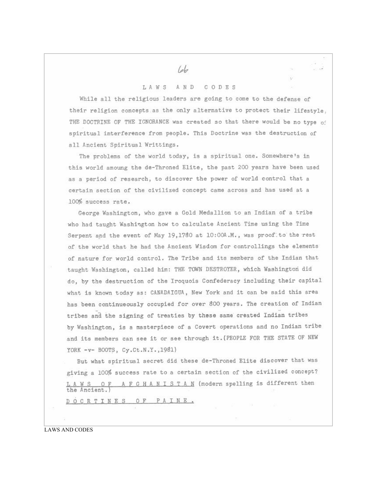## LAWS AND CODES

While all the religious leaders are going to come to the defense of their religion concepts as the only alternative to protect their lifestvle. THE DOCTRINE OF THE IGNORANCE was created so that there would be no type of spiritual interference from people. This Doctrine was the destruction of all Ancient Spiritual Writtings.

The problems of the world today, is a spiritual one. Somewhere's in this world amoung the de-Throned Elite, the past 200 years have been used as a period of research, to discover the power of world control that a certain section of the civilized concept came across and has used at a 100% success rate.

George Washington, who gave a Gold Medallion to an Indian of a tribe who had taught Washington how to calculate Ancient Time using the Time Serpent and the event of May 19,1780 at 10:00A.M., was proof to the rest of the world that he had the Ancient Wisdom for controllings the elements of nature for world control. The Tribe and its members of the Indian that taught Washington, called him: THE TOWN DESTROYER, which Washington did do, by the destruction of the Iroquois Confederacy including their capital what is known today as: CANADAIGUA, New York and it can be said this area has been continueously occupied for over 800 years. The creation of Indian tribes and the signing of treaties by these same created Indian tribes by Washington, is a masterpiece of a Covert operations and no Indian tribe and its members can see it or see through it. (PEOPLE FOR THE STATE OF NEW YORK -v- BOOTS, Cy.Ct.N.Y.,1981)

But what spiritual secret did these de-Throned Elite discover that was giving a 100% success rate to a certain section of the civilized concept?  $L A W S$  OF  $A F G H A N I S T A N$  (modern spelling is different then<br>the Ancient.) DOCRTINES OF PAINE.

**LAWS AND CODES** 

 $_{lab}$